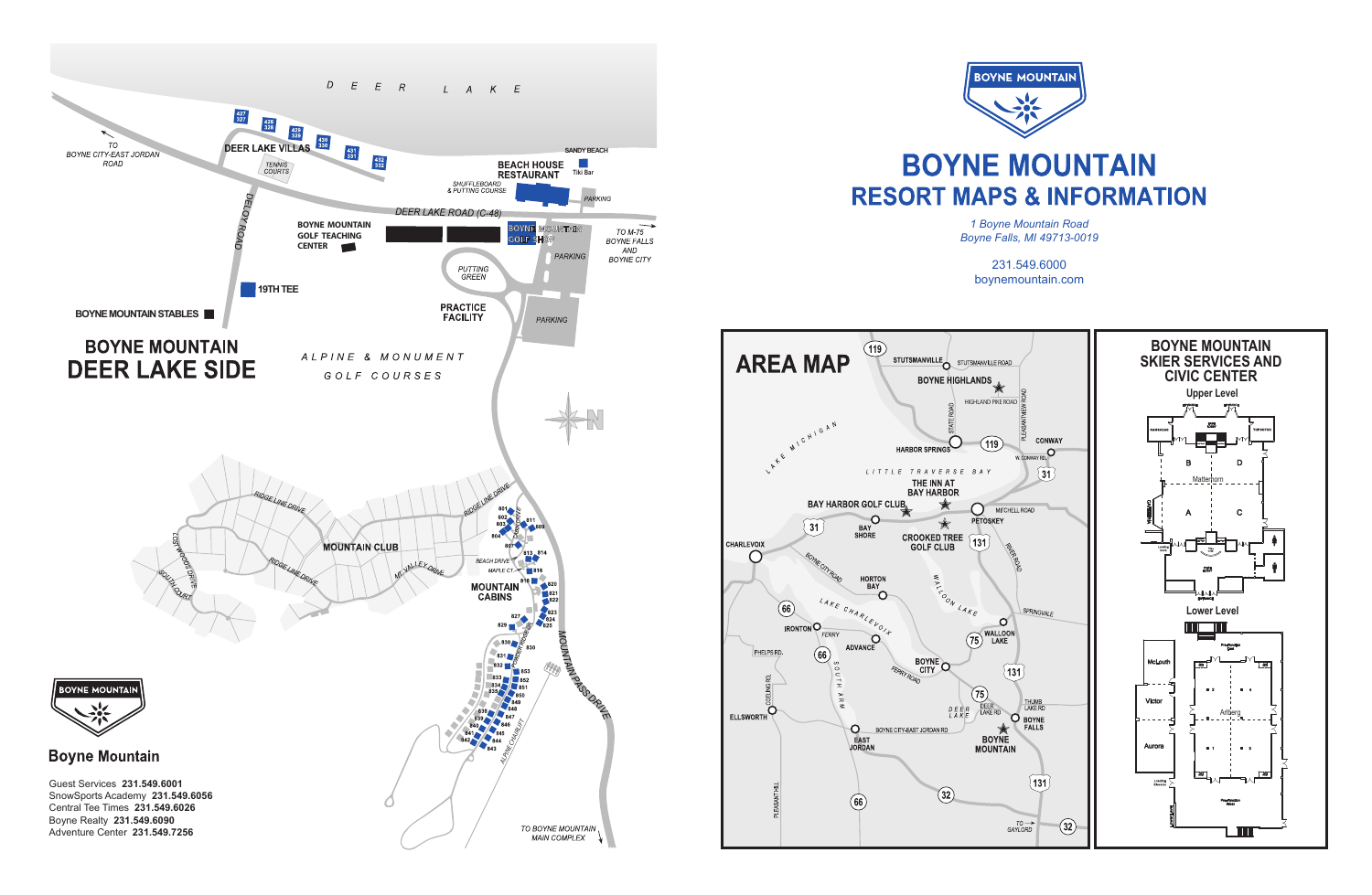

## **BOYNE MOUNTAIN RESORT MAPS & INFORMATION**



*1 Boyne Mountain Road Boyne Falls, MI 49713-0019*